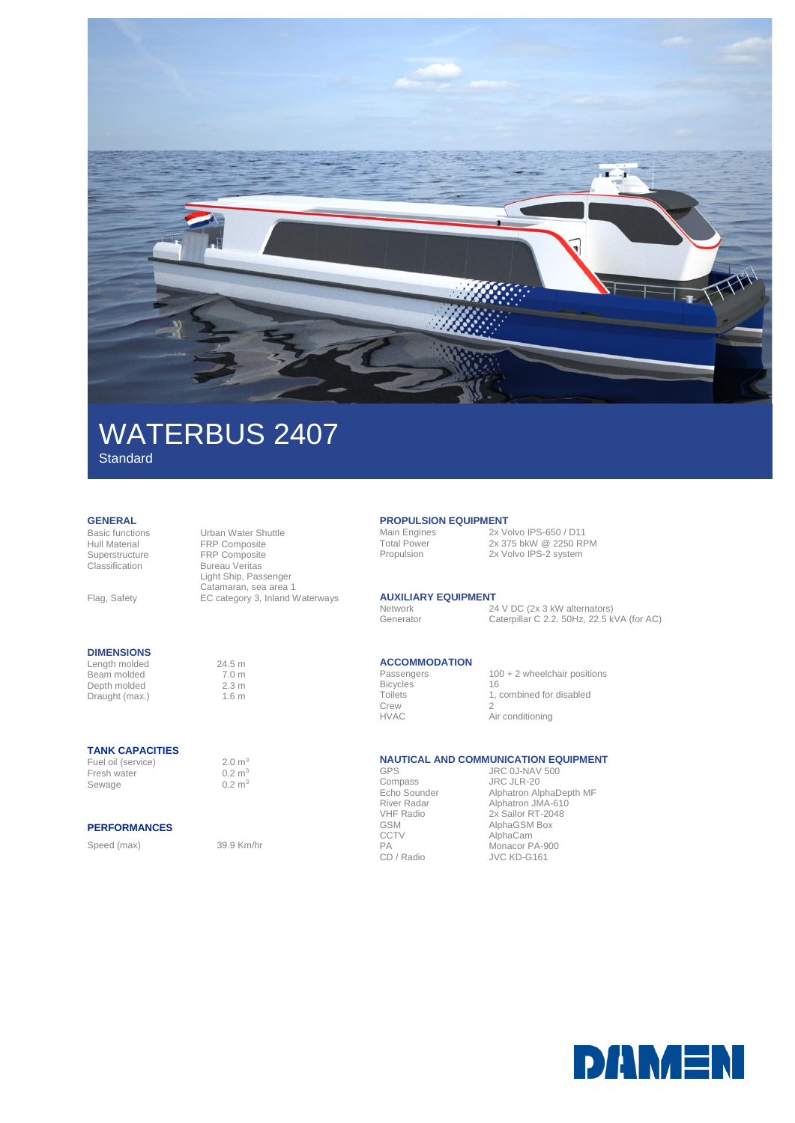

# WATERBUS 2407

FRP Composite

Bureau Veritas Light Ship, Passenger Catamaran, sea area 1 EC category 3, Inland Waterways

**Standard** 

## **GENERAL**<br>Basic functions

Basic functions Urban Water Shuttle Hull Material FRP Composite<br>Superstructure FRP Composite Classification

Flag, Safety

### **DIMENSIONS**

Length molded 24.5 m<br>Beam molded 7.0 m Beam molded 7.0 m<br>
Depth molded 2.3 m Depth molded 2.3 m<br>Draught (max.) 1.6 m Draught (max.)

### **TANK CAPACITIES**

Fuel oil (service) 2.0 m<sup>3</sup><br>Fresh water  $0.2 \text{ m}^3$ Fresh water Sewage 0.2 m<sup>3</sup>

### **PERFORMANCES**

Speed (max) 39.9 Km/hr

### **PROPULSION EQUIPMENT**

Main Engines<br>
Total Power<br>
2x 375 bkW @ 2250 RF Total Power 2x 375 bkW @ 2250 RPM<br>Propulsion 2x Volvo IPS-2 system 2x Volvo IPS-2 system

### **AUXILIARY EQUIPMENT**

Network 24 V DC (2x 3 kW alternators) Generator Caterpillar C 2.2. 50Hz, 22.5 kVA (for AC)

# **ACCOMMODATION**

**Bicycles Toilets** Crew<br>HVAC

 $100 + 2$  wheelchair positions 16 1, combined for disabled  $\overline{2}$ Air conditioning

### **NAUTICAL AND COMMUNICATION EQUIPMENT**

GPS Compass Echo Sounder River Radar VHF Radio GSM **CCTV** PA<br>CD / Radio

JRC 0J-NAV 500 JRC JLR-20 Alphatron AlphaDepth MF Alphatron JMA-610 2x Sailor RT-2048 **AlphaGSM Box** AlphaCam Monacor PA-900 JVC KD-G161